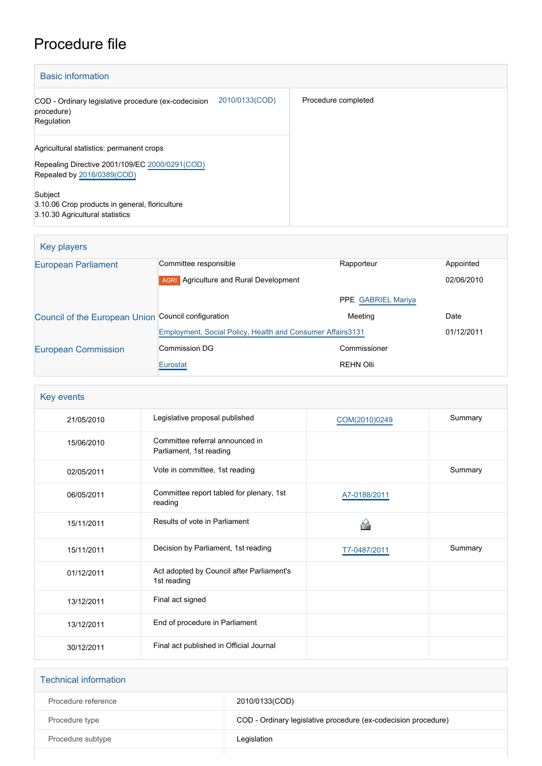## Procedure file

| <b>Basic information</b>                                                                                                 |                |                     |
|--------------------------------------------------------------------------------------------------------------------------|----------------|---------------------|
| COD - Ordinary legislative procedure (ex-codecision<br>procedure)<br>Regulation                                          | 2010/0133(COD) | Procedure completed |
| Agricultural statistics: permanent crops<br>Repealing Directive 2001/109/EC 2000/0291(COD)<br>Repealed by 2016/0389(COD) |                |                     |
| Subject<br>3.10.06 Crop products in general, floriculture<br>3.10.30 Agricultural statistics                             |                |                     |

## Key players

| <b>European Parliament</b>                          | Committee responsible                                       | Rapporteur                | Appointed  |
|-----------------------------------------------------|-------------------------------------------------------------|---------------------------|------------|
|                                                     | Agriculture and Rural Development<br><b>AGRI</b>            |                           | 02/06/2010 |
|                                                     |                                                             | <b>PPE GABRIEL Mariya</b> |            |
| Council of the European Union Council configuration |                                                             | Meeting                   | Date       |
|                                                     | Employment, Social Policy, Health and Consumer Affairs 3131 |                           | 01/12/2011 |
| <b>European Commission</b>                          | Commission DG                                               | Commissioner              |            |
|                                                     | Eurostat                                                    | <b>REHN Olli</b>          |            |

| Key events |                                                            |               |         |
|------------|------------------------------------------------------------|---------------|---------|
| 21/05/2010 | Legislative proposal published                             | COM(2010)0249 | Summary |
| 15/06/2010 | Committee referral announced in<br>Parliament, 1st reading |               |         |
| 02/05/2011 | Vote in committee, 1st reading                             |               | Summary |
| 06/05/2011 | Committee report tabled for plenary, 1st<br>reading        | A7-0188/2011  |         |
| 15/11/2011 | Results of vote in Parliament                              | ◠             |         |
| 15/11/2011 | Decision by Parliament, 1st reading                        | T7-0487/2011  | Summary |
| 01/12/2011 | Act adopted by Council after Parliament's<br>1st reading   |               |         |
| 13/12/2011 | Final act signed                                           |               |         |
| 13/12/2011 | End of procedure in Parliament                             |               |         |
| 30/12/2011 | Final act published in Official Journal                    |               |         |

| <b>Technical information</b> |                                                                |
|------------------------------|----------------------------------------------------------------|
| Procedure reference          | 2010/0133(COD)                                                 |
| Procedure type               | COD - Ordinary legislative procedure (ex-codecision procedure) |
| Procedure subtype            | Legislation                                                    |
|                              |                                                                |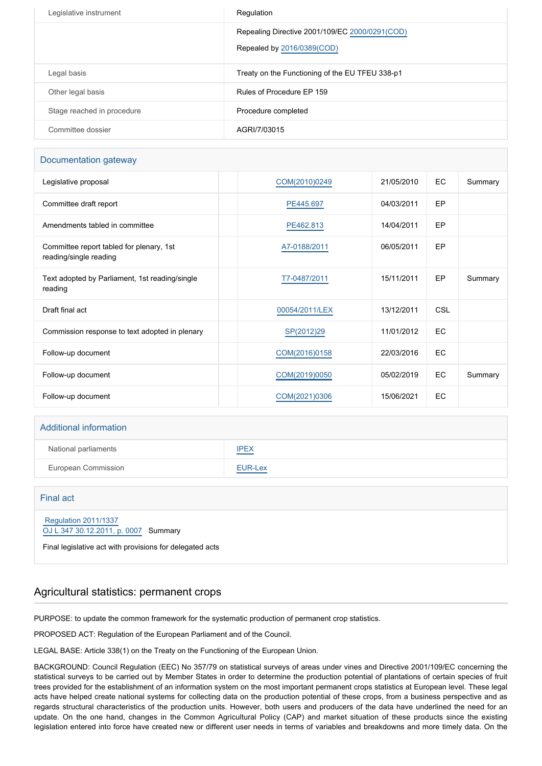| Legislative instrument     | Regulation                                                                   |
|----------------------------|------------------------------------------------------------------------------|
|                            | Repealing Directive 2001/109/EC 2000/0291(COD)<br>Repealed by 2016/0389(COD) |
| Legal basis                | Treaty on the Functioning of the EU TFEU 338-p1                              |
| Other legal basis          | Rules of Procedure EP 159                                                    |
| Stage reached in procedure | Procedure completed                                                          |
| Committee dossier          | AGRI/7/03015                                                                 |

#### Documentation gateway

| Legislative proposal                                               | COM(2010)0249  | 21/05/2010 | EC         | Summary |
|--------------------------------------------------------------------|----------------|------------|------------|---------|
| Committee draft report                                             | PE445.697      | 04/03/2011 | EP         |         |
| Amendments tabled in committee                                     | PE462.813      | 14/04/2011 | EP         |         |
| Committee report tabled for plenary, 1st<br>reading/single reading | A7-0188/2011   | 06/05/2011 | EP         |         |
| Text adopted by Parliament, 1st reading/single<br>reading          | T7-0487/2011   | 15/11/2011 | EP         | Summary |
| Draft final act                                                    | 00054/2011/LEX | 13/12/2011 | <b>CSL</b> |         |
| Commission response to text adopted in plenary                     | SP(2012)29     | 11/01/2012 | EC         |         |
| Follow-up document                                                 | COM(2016)0158  | 22/03/2016 | EC         |         |
| Follow-up document                                                 | COM(2019)0050  | 05/02/2019 | EC         | Summary |
| Follow-up document                                                 | COM(2021)0306  | 15/06/2021 | EC         |         |

# Additional information National parliaments **[IPEX](http://www.ipex.eu/IPEXL-WEB/dossier/dossier.do?code=COD&year=2010&number=0133&appLng=EN)** European Commission **[EUR-Lex](http://ec.europa.eu/prelex/liste_resultats.cfm?CL=en&ReqId=0&DocType=COD&DocYear=2010&DocNum=0133)**

| Final act                                                                                                                       |
|---------------------------------------------------------------------------------------------------------------------------------|
| <b>Regulation 2011/1337</b><br>OJ L 347 30.12.2011, p. 0007 Summary<br>Final legislative act with provisions for delegated acts |

## Agricultural statistics: permanent crops

PURPOSE: to update the common framework for the systematic production of permanent crop statistics.

PROPOSED ACT: Regulation of the European Parliament and of the Council.

LEGAL BASE: Article 338(1) on the Treaty on the Functioning of the European Union.

BACKGROUND: Council Regulation (EEC) No 357/79 on statistical surveys of areas under vines and Directive 2001/109/EC concerning the statistical surveys to be carried out by Member States in order to determine the production potential of plantations of certain species of fruit trees provided for the establishment of an information system on the most important permanent crops statistics at European level. These legal acts have helped create national systems for collecting data on the production potential of these crops, from a business perspective and as regards structural characteristics of the production units. However, both users and producers of the data have underlined the need for an update. On the one hand, changes in the Common Agricultural Policy (CAP) and market situation of these products since the existing legislation entered into force have created new or different user needs in terms of variables and breakdowns and more timely data. On the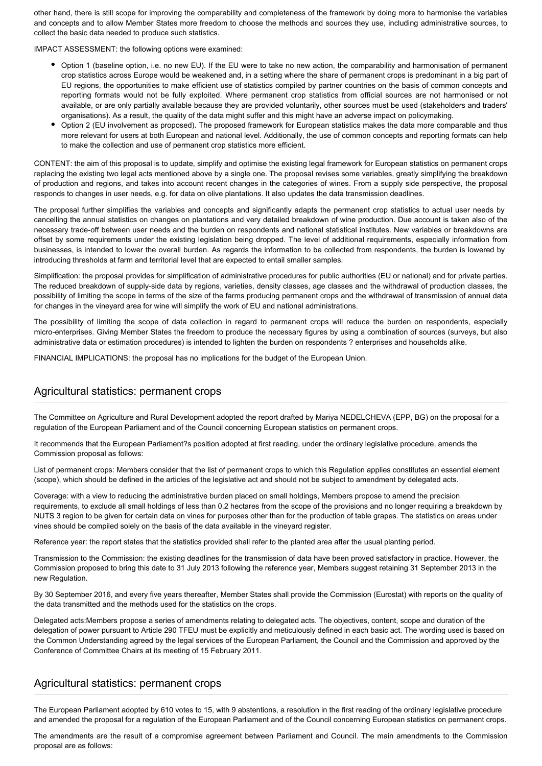other hand, there is still scope for improving the comparability and completeness of the framework by doing more to harmonise the variables and concepts and to allow Member States more freedom to choose the methods and sources they use, including administrative sources, to collect the basic data needed to produce such statistics.

IMPACT ASSESSMENT: the following options were examined:

- Option 1 (baseline option, i.e. no new EU). If the EU were to take no new action, the comparability and harmonisation of permanent crop statistics across Europe would be weakened and, in a setting where the share of permanent crops is predominant in a big part of EU regions, the opportunities to make efficient use of statistics compiled by partner countries on the basis of common concepts and reporting formats would not be fully exploited. Where permanent crop statistics from official sources are not harmonised or not available, or are only partially available because they are provided voluntarily, other sources must be used (stakeholders and traders' organisations). As a result, the quality of the data might suffer and this might have an adverse impact on policymaking.
- Option 2 (EU involvement as proposed). The proposed framework for European statistics makes the data more comparable and thus more relevant for users at both European and national level. Additionally, the use of common concepts and reporting formats can help to make the collection and use of permanent crop statistics more efficient.

CONTENT: the aim of this proposal is to update, simplify and optimise the existing legal framework for European statistics on permanent crops replacing the existing two legal acts mentioned above by a single one. The proposal revises some variables, greatly simplifying the breakdown of production and regions, and takes into account recent changes in the categories of wines. From a supply side perspective, the proposal responds to changes in user needs, e.g. for data on olive plantations. It also updates the data transmission deadlines.

The proposal further simplifies the variables and concepts and significantly adapts the permanent crop statistics to actual user needs by cancelling the annual statistics on changes on plantations and very detailed breakdown of wine production. Due account is taken also of the necessary trade-off between user needs and the burden on respondents and national statistical institutes. New variables or breakdowns are offset by some requirements under the existing legislation being dropped. The level of additional requirements, especially information from businesses, is intended to lower the overall burden. As regards the information to be collected from respondents, the burden is lowered by introducing thresholds at farm and territorial level that are expected to entail smaller samples.

Simplification: the proposal provides for simplification of administrative procedures for public authorities (EU or national) and for private parties. The reduced breakdown of supply-side data by regions, varieties, density classes, age classes and the withdrawal of production classes, the possibility of limiting the scope in terms of the size of the farms producing permanent crops and the withdrawal of transmission of annual data for changes in the vineyard area for wine will simplify the work of EU and national administrations.

The possibility of limiting the scope of data collection in regard to permanent crops will reduce the burden on respondents, especially micro-enterprises. Giving Member States the freedom to produce the necessary figures by using a combination of sources (surveys, but also administrative data or estimation procedures) is intended to lighten the burden on respondents ? enterprises and households alike.

FINANCIAL IMPLICATIONS: the proposal has no implications for the budget of the European Union.

## Agricultural statistics: permanent crops

The Committee on Agriculture and Rural Development adopted the report drafted by Mariya NEDELCHEVA (EPP, BG) on the proposal for a regulation of the European Parliament and of the Council concerning European statistics on permanent crops.

It recommends that the European Parliament?s position adopted at first reading, under the ordinary legislative procedure, amends the Commission proposal as follows:

List of permanent crops: Members consider that the list of permanent crops to which this Regulation applies constitutes an essential element (scope), which should be defined in the articles of the legislative act and should not be subject to amendment by delegated acts.

Coverage: with a view to reducing the administrative burden placed on small holdings, Members propose to amend the precision requirements, to exclude all small holdings of less than 0.2 hectares from the scope of the provisions and no longer requiring a breakdown by NUTS 3 region to be given for certain data on vines for purposes other than for the production of table grapes. The statistics on areas under vines should be compiled solely on the basis of the data available in the vineyard register.

Reference year: the report states that the statistics provided shall refer to the planted area after the usual planting period.

Transmission to the Commission: the existing deadlines for the transmission of data have been proved satisfactory in practice. However, the Commission proposed to bring this date to 31 July 2013 following the reference year, Members suggest retaining 31 September 2013 in the new Regulation.

By 30 September 2016, and every five years thereafter, Member States shall provide the Commission (Eurostat) with reports on the quality of the data transmitted and the methods used for the statistics on the crops.

Delegated acts:Members propose a series of amendments relating to delegated acts. The objectives, content, scope and duration of the delegation of power pursuant to Article 290 TFEU must be explicitly and meticulously defined in each basic act. The wording used is based on the Common Understanding agreed by the legal services of the European Parliament, the Council and the Commission and approved by the Conference of Committee Chairs at its meeting of 15 February 2011.

#### Agricultural statistics: permanent crops

The European Parliament adopted by 610 votes to 15, with 9 abstentions, a resolution in the first reading of the ordinary legislative procedure and amended the proposal for a regulation of the European Parliament and of the Council concerning European statistics on permanent crops.

The amendments are the result of a compromise agreement between Parliament and Council. The main amendments to the Commission proposal are as follows: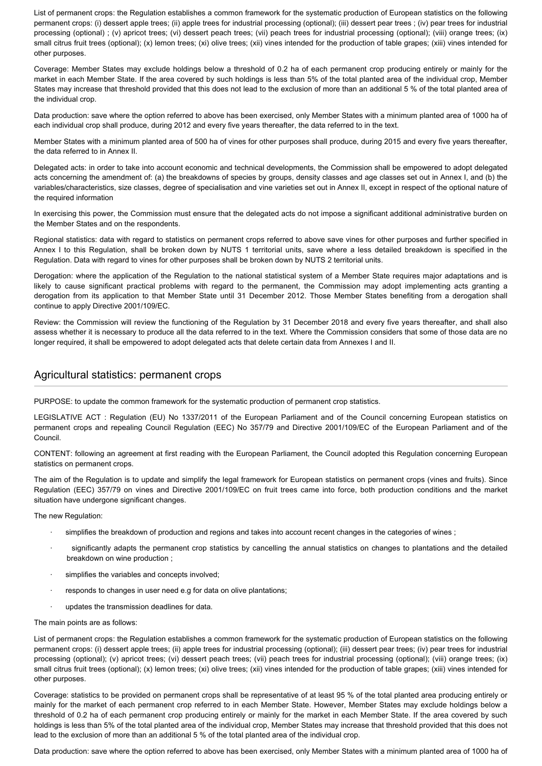List of permanent crops: the Regulation establishes a common framework for the systematic production of European statistics on the following permanent crops: (i) dessert apple trees; (ii) apple trees for industrial processing (optional); (iii) dessert pear trees ; (iv) pear trees for industrial processing (optional) ; (v) apricot trees; (vi) dessert peach trees; (vii) peach trees for industrial processing (optional); (viii) orange trees; (ix) small citrus fruit trees (optional); (x) lemon trees; (xi) olive trees; (xii) vines intended for the production of table grapes; (xiii) vines intended for other purposes.

Coverage: Member States may exclude holdings below a threshold of 0.2 ha of each permanent crop producing entirely or mainly for the market in each Member State. If the area covered by such holdings is less than 5% of the total planted area of the individual crop, Member States may increase that threshold provided that this does not lead to the exclusion of more than an additional 5 % of the total planted area of the individual crop.

Data production: save where the option referred to above has been exercised, only Member States with a minimum planted area of 1000 ha of each individual crop shall produce, during 2012 and every five years thereafter, the data referred to in the text.

Member States with a minimum planted area of 500 ha of vines for other purposes shall produce, during 2015 and every five years thereafter, the data referred to in Annex II.

Delegated acts: in order to take into account economic and technical developments, the Commission shall be empowered to adopt delegated acts concerning the amendment of: (a) the breakdowns of species by groups, density classes and age classes set out in Annex I, and (b) the variables/characteristics, size classes, degree of specialisation and vine varieties set out in Annex II, except in respect of the optional nature of the required information

In exercising this power, the Commission must ensure that the delegated acts do not impose a significant additional administrative burden on the Member States and on the respondents.

Regional statistics: data with regard to statistics on permanent crops referred to above save vines for other purposes and further specified in Annex I to this Regulation, shall be broken down by NUTS 1 territorial units, save where a less detailed breakdown is specified in the Regulation. Data with regard to vines for other purposes shall be broken down by NUTS 2 territorial units.

Derogation: where the application of the Regulation to the national statistical system of a Member State requires major adaptations and is likely to cause significant practical problems with regard to the permanent, the Commission may adopt implementing acts granting a derogation from its application to that Member State until 31 December 2012. Those Member States benefiting from a derogation shall continue to apply Directive 2001/109/EC.

Review: the Commission will review the functioning of the Regulation by 31 December 2018 and every five years thereafter, and shall also assess whether it is necessary to produce all the data referred to in the text. Where the Commission considers that some of those data are no longer required, it shall be empowered to adopt delegated acts that delete certain data from Annexes I and II.

#### Agricultural statistics: permanent crops

PURPOSE: to update the common framework for the systematic production of permanent crop statistics.

LEGISLATIVE ACT : Regulation (EU) No 1337/2011 of the European Parliament and of the Council concerning European statistics on permanent crops and repealing Council Regulation (EEC) No 357/79 and Directive 2001/109/EC of the European Parliament and of the Council.

CONTENT: following an agreement at first reading with the European Parliament, the Council adopted this Regulation concerning European statistics on permanent crops.

The aim of the Regulation is to update and simplify the legal framework for European statistics on permanent crops (vines and fruits). Since Regulation (EEC) 357/79 on vines and Directive 2001/109/EC on fruit trees came into force, both production conditions and the market situation have undergone significant changes.

The new Regulation:

- simplifies the breakdown of production and regions and takes into account recent changes in the categories of wines;
- significantly adapts the permanent crop statistics by cancelling the annual statistics on changes to plantations and the detailed breakdown on wine production ;
- simplifies the variables and concepts involved;
- responds to changes in user need e.g for data on olive plantations;
- updates the transmission deadlines for data.

The main points are as follows:

List of permanent crops: the Regulation establishes a common framework for the systematic production of European statistics on the following permanent crops: (i) dessert apple trees; (ii) apple trees for industrial processing (optional); (iii) dessert pear trees; (iv) pear trees for industrial processing (optional); (v) apricot trees; (vi) dessert peach trees; (vii) peach trees for industrial processing (optional); (viii) orange trees; (ix) small citrus fruit trees (optional); (x) lemon trees; (xi) olive trees; (xii) vines intended for the production of table grapes; (xiii) vines intended for other purposes.

Coverage: statistics to be provided on permanent crops shall be representative of at least 95 % of the total planted area producing entirely or mainly for the market of each permanent crop referred to in each Member State. However, Member States may exclude holdings below a threshold of 0.2 ha of each permanent crop producing entirely or mainly for the market in each Member State. If the area covered by such holdings is less than 5% of the total planted area of the individual crop, Member States may increase that threshold provided that this does not lead to the exclusion of more than an additional 5 % of the total planted area of the individual crop.

Data production: save where the option referred to above has been exercised, only Member States with a minimum planted area of 1000 ha of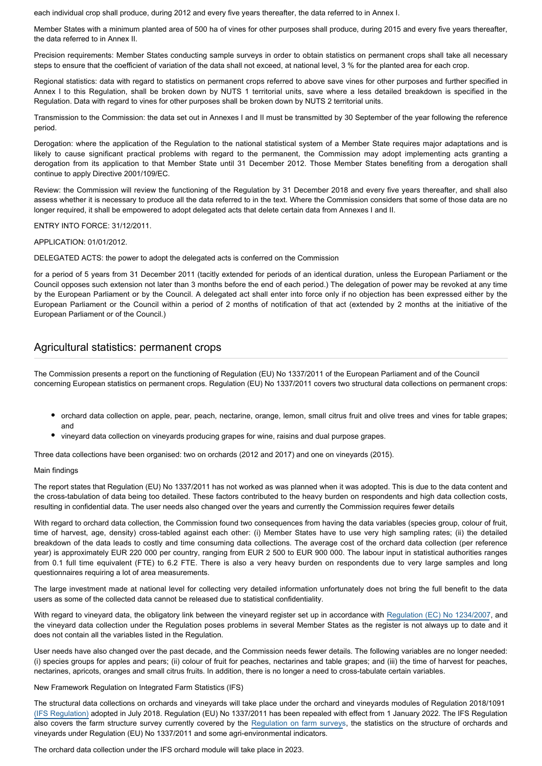each individual crop shall produce, during 2012 and every five years thereafter, the data referred to in Annex I.

Member States with a minimum planted area of 500 ha of vines for other purposes shall produce, during 2015 and every five years thereafter, the data referred to in Annex II.

Precision requirements: Member States conducting sample surveys in order to obtain statistics on permanent crops shall take all necessary steps to ensure that the coefficient of variation of the data shall not exceed, at national level, 3 % for the planted area for each crop.

Regional statistics: data with regard to statistics on permanent crops referred to above save vines for other purposes and further specified in Annex I to this Regulation, shall be broken down by NUTS 1 territorial units, save where a less detailed breakdown is specified in the Regulation. Data with regard to vines for other purposes shall be broken down by NUTS 2 territorial units.

Transmission to the Commission: the data set out in Annexes I and II must be transmitted by 30 September of the year following the reference period.

Derogation: where the application of the Regulation to the national statistical system of a Member State requires major adaptations and is likely to cause significant practical problems with regard to the permanent, the Commission may adopt implementing acts granting a derogation from its application to that Member State until 31 December 2012. Those Member States benefiting from a derogation shall continue to apply Directive 2001/109/EC.

Review: the Commission will review the functioning of the Regulation by 31 December 2018 and every five years thereafter, and shall also assess whether it is necessary to produce all the data referred to in the text. Where the Commission considers that some of those data are no longer required, it shall be empowered to adopt delegated acts that delete certain data from Annexes I and II.

ENTRY INTO FORCE: 31/12/2011.

#### APPLICATION: 01/01/2012.

DELEGATED ACTS: the power to adopt the delegated acts is conferred on the Commission

for a period of 5 years from 31 December 2011 (tacitly extended for periods of an identical duration, unless the European Parliament or the Council opposes such extension not later than 3 months before the end of each period.) The delegation of power may be revoked at any time by the European Parliament or by the Council. A delegated act shall enter into force only if no objection has been expressed either by the European Parliament or the Council within a period of 2 months of notification of that act (extended by 2 months at the initiative of the European Parliament or of the Council.)

### Agricultural statistics: permanent crops

The Commission presents a report on the functioning of Regulation (EU) No 1337/2011 of the European Parliament and of the Council concerning European statistics on permanent crops. Regulation (EU) No 1337/2011 covers two structural data collections on permanent crops:

- orchard data collection on apple, pear, peach, nectarine, orange, lemon, small citrus fruit and olive trees and vines for table grapes; and
- vineyard data collection on vineyards producing grapes for wine, raisins and dual purpose grapes.

Three data collections have been organised: two on orchards (2012 and 2017) and one on vineyards (2015).

#### Main findings

The report states that Regulation (EU) No 1337/2011 has not worked as was planned when it was adopted. This is due to the data content and the cross-tabulation of data being too detailed. These factors contributed to the heavy burden on respondents and high data collection costs, resulting in confidential data. The user needs also changed over the years and currently the Commission requires fewer details

With regard to orchard data collection, the Commission found two consequences from having the data variables (species group, colour of fruit, time of harvest, age, density) cross-tabled against each other: (i) Member States have to use very high sampling rates; (ii) the detailed breakdown of the data leads to costly and time consuming data collections. The average cost of the orchard data collection (per reference year) is approximately EUR 220 000 per country, ranging from EUR 2 500 to EUR 900 000. The labour input in statistical authorities ranges from 0.1 full time equivalent (FTE) to 6.2 FTE. There is also a very heavy burden on respondents due to very large samples and long questionnaires requiring a lot of area measurements.

The large investment made at national level for collecting very detailed information unfortunately does not bring the full benefit to the data users as some of the collected data cannot be released due to statistical confidentiality.

With regard to vineyard data, the obligatory link between the vineyard register set up in accordance with [Regulation \(EC\) No 1234/2007](http://eur-lex.europa.eu/legal-content/EN/ALL/?uri=CELEX%3A32007R1234), and the vineyard data collection under the Regulation poses problems in several Member States as the register is not always up to date and it does not contain all the variables listed in the Regulation.

User needs have also changed over the past decade, and the Commission needs fewer details. The following variables are no longer needed: (i) species groups for apples and pears; (ii) colour of fruit for peaches, nectarines and table grapes; and (iii) the time of harvest for peaches, nectarines, apricots, oranges and small citrus fruits. In addition, there is no longer a need to cross-tabulate certain variables.

New Framework Regulation on Integrated Farm Statistics (IFS)

The structural data collections on orchards and vineyards will take place under the orchard and vineyards modules of Regulation 2018/1091 [\(IFS Regulation\)](https://oeil.secure.europarl.europa.eu/oeil/popups/ficheprocedure.do?reference=20016/0389COD)&l=en) adopted in July 2018. Regulation (EU) No 1337/2011 has been repealed with effect from 1 January 2022. The IFS Regulation also covers the farm structure survey currently covered by the [Regulation on farm surveys](http://eur-lex.europa.eu/legal-content/EN/ALL/?uri=CELEX%3A32008R1166), the statistics on the structure of orchards and vineyards under Regulation (EU) No 1337/2011 and some agri-environmental indicators.

The orchard data collection under the IFS orchard module will take place in 2023.